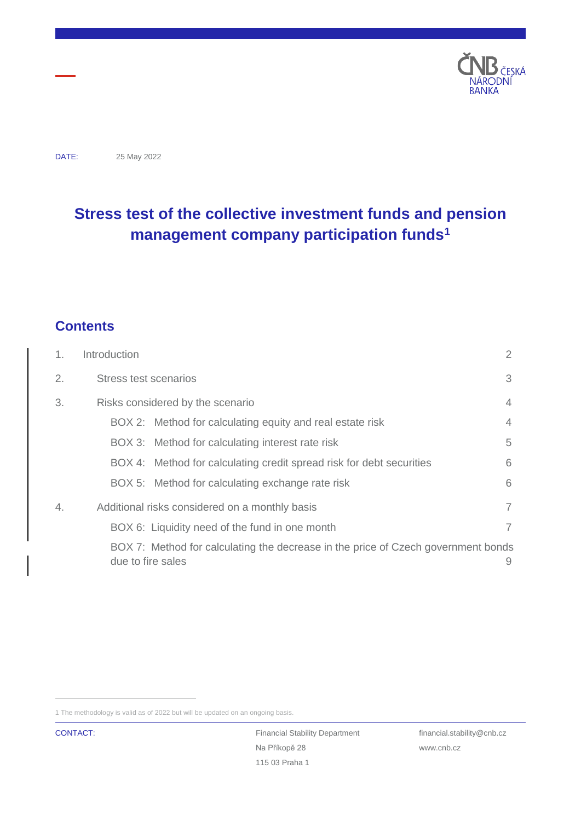

DATE: 25 May 2022

# **Stress test of the collective investment funds and pension management company participation funds<sup>1</sup>**

## **Contents**

| 1. | Introduction          |                                                                                   | $\overline{2}$ |
|----|-----------------------|-----------------------------------------------------------------------------------|----------------|
| 2. | Stress test scenarios |                                                                                   | 3              |
| 3. |                       | Risks considered by the scenario                                                  |                |
|    |                       | BOX 2: Method for calculating equity and real estate risk                         | 4              |
|    |                       | BOX 3: Method for calculating interest rate risk                                  | 5              |
|    |                       | BOX 4: Method for calculating credit spread risk for debt securities              | 6              |
|    |                       | BOX 5: Method for calculating exchange rate risk                                  | 6              |
| 4. |                       | Additional risks considered on a monthly basis                                    | 7              |
|    |                       | BOX 6: Liquidity need of the fund in one month                                    | 7              |
|    | due to fire sales     | BOX 7: Method for calculating the decrease in the price of Czech government bonds | 9              |

<sup>1</sup> The methodology is valid as of 2022 but will be updated on an ongoing basis.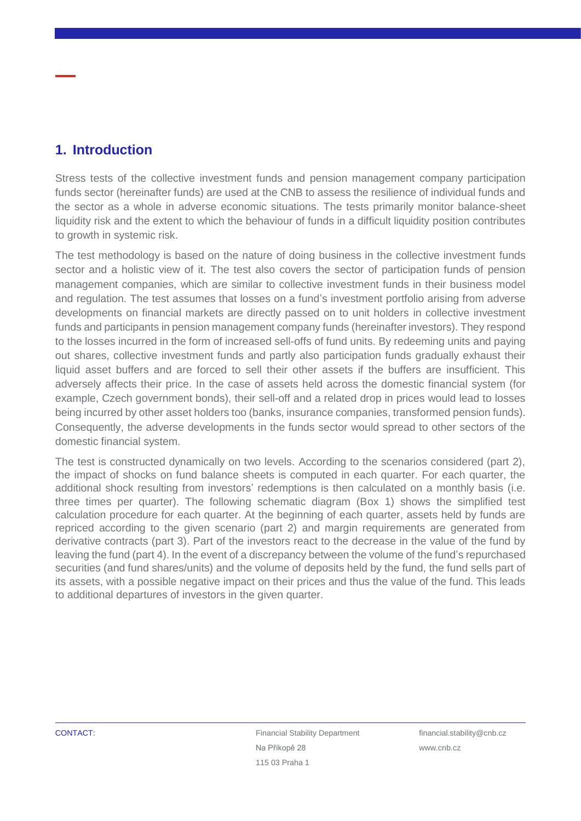## <span id="page-1-0"></span>**1. Introduction**

Stress tests of the collective investment funds and pension management company participation funds sector (hereinafter funds) are used at the CNB to assess the resilience of individual funds and the sector as a whole in adverse economic situations. The tests primarily monitor balance-sheet liquidity risk and the extent to which the behaviour of funds in a difficult liquidity position contributes to growth in systemic risk.

The test methodology is based on the nature of doing business in the collective investment funds sector and a holistic view of it. The test also covers the sector of participation funds of pension management companies, which are similar to collective investment funds in their business model and regulation. The test assumes that losses on a fund's investment portfolio arising from adverse developments on financial markets are directly passed on to unit holders in collective investment funds and participants in pension management company funds (hereinafter investors). They respond to the losses incurred in the form of increased sell-offs of fund units. By redeeming units and paying out shares, collective investment funds and partly also participation funds gradually exhaust their liquid asset buffers and are forced to sell their other assets if the buffers are insufficient. This adversely affects their price. In the case of assets held across the domestic financial system (for example, Czech government bonds), their sell-off and a related drop in prices would lead to losses being incurred by other asset holders too (banks, insurance companies, transformed pension funds). Consequently, the adverse developments in the funds sector would spread to other sectors of the domestic financial system.

The test is constructed dynamically on two levels. According to the scenarios considered (part 2), the impact of shocks on fund balance sheets is computed in each quarter. For each quarter, the additional shock resulting from investors' redemptions is then calculated on a monthly basis (i.e. three times per quarter). The following schematic diagram (Box 1) shows the simplified test calculation procedure for each quarter. At the beginning of each quarter, assets held by funds are repriced according to the given scenario (part 2) and margin requirements are generated from derivative contracts (part 3). Part of the investors react to the decrease in the value of the fund by leaving the fund (part 4). In the event of a discrepancy between the volume of the fund's repurchased securities (and fund shares/units) and the volume of deposits held by the fund, the fund sells part of its assets, with a possible negative impact on their prices and thus the value of the fund. This leads to additional departures of investors in the given quarter.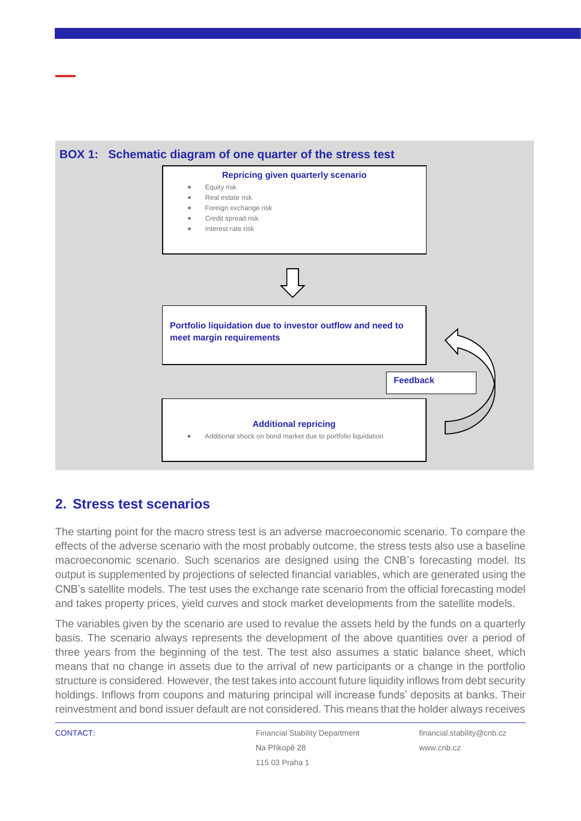

## <span id="page-2-0"></span>**2. Stress test scenarios**

The starting point for the macro stress test is an adverse macroeconomic scenario. To compare the effects of the adverse scenario with the most probably outcome, the stress tests also use a baseline macroeconomic scenario. Such scenarios are designed using the CNB's forecasting model. Its output is supplemented by projections of selected financial variables, which are generated using the CNB's satellite models. The test uses the exchange rate scenario from the official forecasting model and takes property prices, yield curves and stock market developments from the satellite models.

The variables given by the scenario are used to revalue the assets held by the funds on a quarterly basis. The scenario always represents the development of the above quantities over a period of three years from the beginning of the test. The test also assumes a static balance sheet, which means that no change in assets due to the arrival of new participants or a change in the portfolio structure is considered. However, the test takes into account future liquidity inflows from debt security holdings. Inflows from coupons and maturing principal will increase funds' deposits at banks. Their reinvestment and bond issuer default are not considered. This means that the holder always receives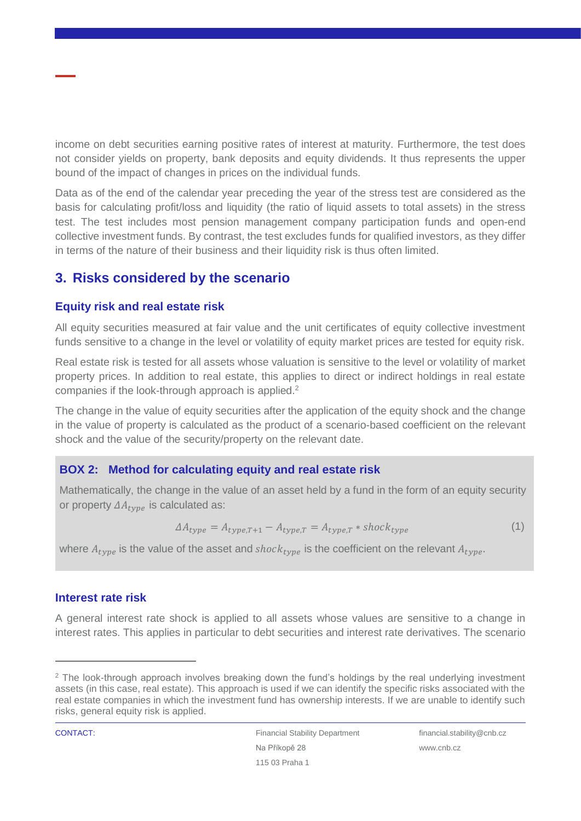income on debt securities earning positive rates of interest at maturity. Furthermore, the test does not consider yields on property, bank deposits and equity dividends. It thus represents the upper bound of the impact of changes in prices on the individual funds.

Data as of the end of the calendar year preceding the year of the stress test are considered as the basis for calculating profit/loss and liquidity (the ratio of liquid assets to total assets) in the stress test. The test includes most pension management company participation funds and open-end collective investment funds. By contrast, the test excludes funds for qualified investors, as they differ in terms of the nature of their business and their liquidity risk is thus often limited.

## <span id="page-3-0"></span>**3. Risks considered by the scenario**

#### **Equity risk and real estate risk**

All equity securities measured at fair value and the unit certificates of equity collective investment funds sensitive to a change in the level or volatility of equity market prices are tested for equity risk.

Real estate risk is tested for all assets whose valuation is sensitive to the level or volatility of market property prices. In addition to real estate, this applies to direct or indirect holdings in real estate companies if the look-through approach is applied.<sup>2</sup>

The change in the value of equity securities after the application of the equity shock and the change in the value of property is calculated as the product of a scenario-based coefficient on the relevant shock and the value of the security/property on the relevant date.

### <span id="page-3-1"></span>**BOX 2: Method for calculating equity and real estate risk**

Mathematically, the change in the value of an asset held by a fund in the form of an equity security or property  $\Delta A_{type}$  is calculated as:

$$
\Delta A_{type} = A_{type,T+1} - A_{type,T} = A_{type,T} * shock_{type}
$$
\n<sup>(1)</sup>

where  $A_{true}$  is the value of the asset and shock<sub>tyne</sub> is the coefficient on the relevant  $A_{true}$ .

#### **Interest rate risk**

A general interest rate shock is applied to all assets whose values are sensitive to a change in interest rates. This applies in particular to debt securities and interest rate derivatives. The scenario

<sup>&</sup>lt;sup>2</sup> The look-through approach involves breaking down the fund's holdings by the real underlying investment assets (in this case, real estate). This approach is used if we can identify the specific risks associated with the real estate companies in which the investment fund has ownership interests. If we are unable to identify such risks, general equity risk is applied.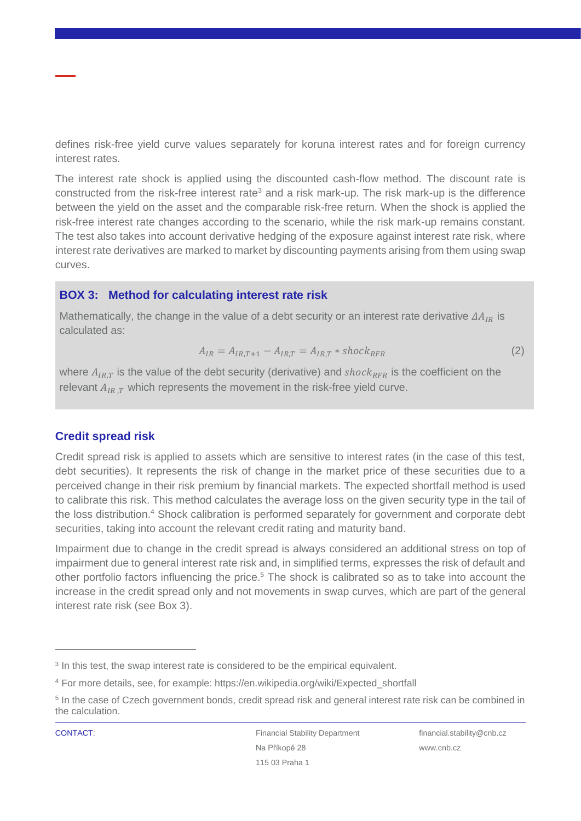defines risk-free yield curve values separately for koruna interest rates and for foreign currency interest rates.

The interest rate shock is applied using the discounted cash-flow method. The discount rate is constructed from the risk-free interest rate<sup>3</sup> and a risk mark-up. The risk mark-up is the difference between the yield on the asset and the comparable risk-free return. When the shock is applied the risk-free interest rate changes according to the scenario, while the risk mark-up remains constant. The test also takes into account derivative hedging of the exposure against interest rate risk, where interest rate derivatives are marked to market by discounting payments arising from them using swap curves.

## <span id="page-4-0"></span>**BOX 3: Method for calculating interest rate risk**

Mathematically, the change in the value of a debt security or an interest rate derivative  $\Delta A_{IR}$  is calculated as:

$$
A_{IR} = A_{IR,T+1} - A_{IR,T} = A_{IR,T} * shock_{RFR}
$$
 (2)

where  $A_{IR,T}$  is the value of the debt security (derivative) and shock<sub>RFR</sub> is the coefficient on the relevant  $A_{IR,T}$  which represents the movement in the risk-free yield curve.

### **Credit spread risk**

Credit spread risk is applied to assets which are sensitive to interest rates (in the case of this test, debt securities). It represents the risk of change in the market price of these securities due to a perceived change in their risk premium by financial markets. The expected shortfall method is used to calibrate this risk. This method calculates the average loss on the given security type in the tail of the loss distribution.<sup>4</sup> Shock calibration is performed separately for government and corporate debt securities, taking into account the relevant credit rating and maturity band.

Impairment due to change in the credit spread is always considered an additional stress on top of impairment due to general interest rate risk and, in simplified terms, expresses the risk of default and other portfolio factors influencing the price.<sup>5</sup> The shock is calibrated so as to take into account the increase in the credit spread only and not movements in swap curves, which are part of the general interest rate risk (see Box 3).

<sup>&</sup>lt;sup>3</sup> In this test, the swap interest rate is considered to be the empirical equivalent.

<sup>4</sup> For more details, see, for example: https://en.wikipedia.org/wiki/Expected\_shortfall

<sup>&</sup>lt;sup>5</sup> In the case of Czech government bonds, credit spread risk and general interest rate risk can be combined in the calculation.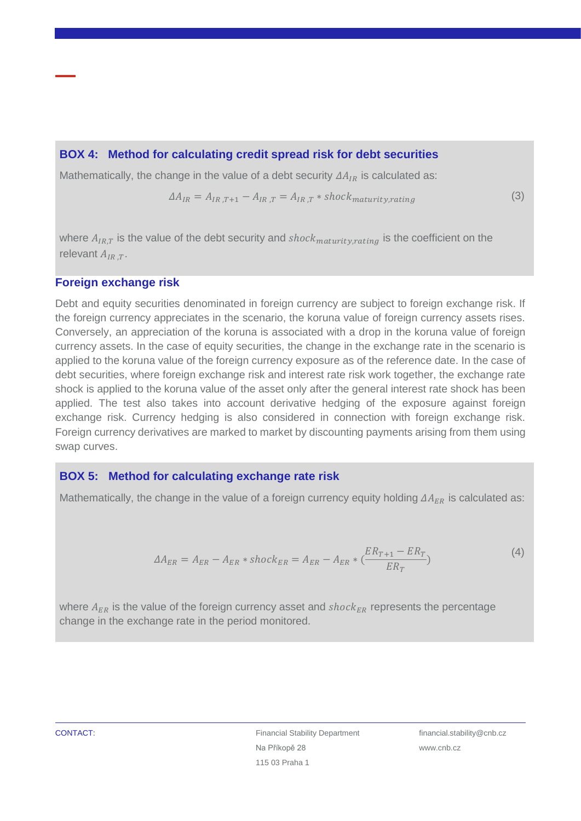#### <span id="page-5-0"></span>**BOX 4: Method for calculating credit spread risk for debt securities**

Mathematically, the change in the value of a debt security  $\Delta A_{IR}$  is calculated as:

$$
\Delta A_{IR} = A_{IR,T+1} - A_{IR,T} = A_{IR,T} * shock_{maturity, rating}
$$
\n(3)

where  $A_{IR,T}$  is the value of the debt security and  $shock_{matrix, rating}$  is the coefficient on the relevant  $A_{IRT}$ .

#### **Foreign exchange risk**

Debt and equity securities denominated in foreign currency are subject to foreign exchange risk. If the foreign currency appreciates in the scenario, the koruna value of foreign currency assets rises. Conversely, an appreciation of the koruna is associated with a drop in the koruna value of foreign currency assets. In the case of equity securities, the change in the exchange rate in the scenario is applied to the koruna value of the foreign currency exposure as of the reference date. In the case of debt securities, where foreign exchange risk and interest rate risk work together, the exchange rate shock is applied to the koruna value of the asset only after the general interest rate shock has been applied. The test also takes into account derivative hedging of the exposure against foreign exchange risk. Currency hedging is also considered in connection with foreign exchange risk. Foreign currency derivatives are marked to market by discounting payments arising from them using swap curves.

#### <span id="page-5-1"></span>**BOX 5: Method for calculating exchange rate risk**

Mathematically, the change in the value of a foreign currency equity holding  $\Delta A_{ER}$  is calculated as:

$$
\Delta A_{ER} = A_{ER} - A_{ER} * shock_{ER} = A_{ER} - A_{ER} * (\frac{ER_{T+1} - ER_T}{ER_T})
$$
\n(4)

where  $A_{ER}$  is the value of the foreign currency asset and  $shock_{ER}$  represents the percentage change in the exchange rate in the period monitored.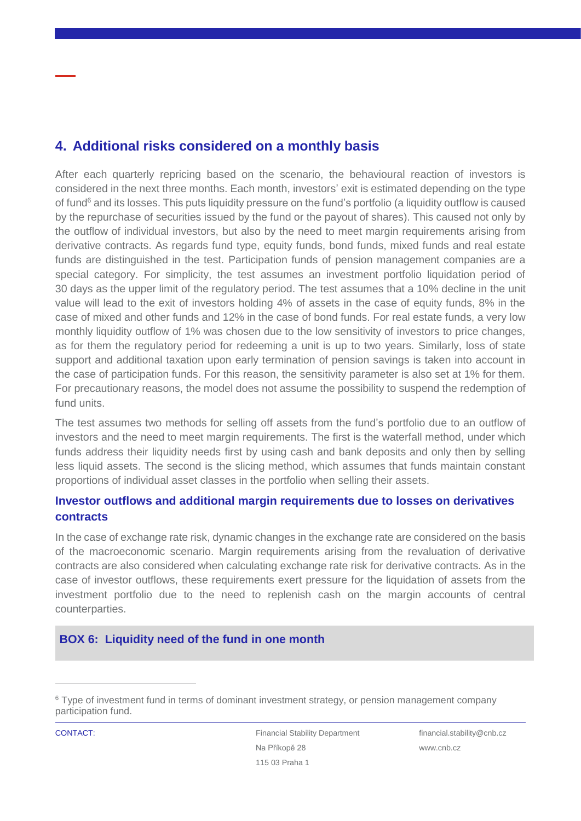## <span id="page-6-0"></span>**4. Additional risks considered on a monthly basis**

After each quarterly repricing based on the scenario, the behavioural reaction of investors is considered in the next three months. Each month, investors' exit is estimated depending on the type of fund<sup>6</sup> and its losses. This puts liquidity pressure on the fund's portfolio (a liquidity outflow is caused by the repurchase of securities issued by the fund or the payout of shares). This caused not only by the outflow of individual investors, but also by the need to meet margin requirements arising from derivative contracts. As regards fund type, equity funds, bond funds, mixed funds and real estate funds are distinguished in the test. Participation funds of pension management companies are a special category. For simplicity, the test assumes an investment portfolio liquidation period of 30 days as the upper limit of the regulatory period. The test assumes that a 10% decline in the unit value will lead to the exit of investors holding 4% of assets in the case of equity funds, 8% in the case of mixed and other funds and 12% in the case of bond funds. For real estate funds, a very low monthly liquidity outflow of 1% was chosen due to the low sensitivity of investors to price changes, as for them the regulatory period for redeeming a unit is up to two years. Similarly, loss of state support and additional taxation upon early termination of pension savings is taken into account in the case of participation funds. For this reason, the sensitivity parameter is also set at 1% for them. For precautionary reasons, the model does not assume the possibility to suspend the redemption of fund units.

The test assumes two methods for selling off assets from the fund's portfolio due to an outflow of investors and the need to meet margin requirements. The first is the waterfall method, under which funds address their liquidity needs first by using cash and bank deposits and only then by selling less liquid assets. The second is the slicing method, which assumes that funds maintain constant proportions of individual asset classes in the portfolio when selling their assets.

#### **Investor outflows and additional margin requirements due to losses on derivatives contracts**

In the case of exchange rate risk, dynamic changes in the exchange rate are considered on the basis of the macroeconomic scenario. Margin requirements arising from the revaluation of derivative contracts are also considered when calculating exchange rate risk for derivative contracts. As in the case of investor outflows, these requirements exert pressure for the liquidation of assets from the investment portfolio due to the need to replenish cash on the margin accounts of central counterparties.

### <span id="page-6-1"></span>**BOX 6: Liquidity need of the fund in one month**

<sup>6</sup> Type of investment fund in terms of dominant investment strategy, or pension management company participation fund.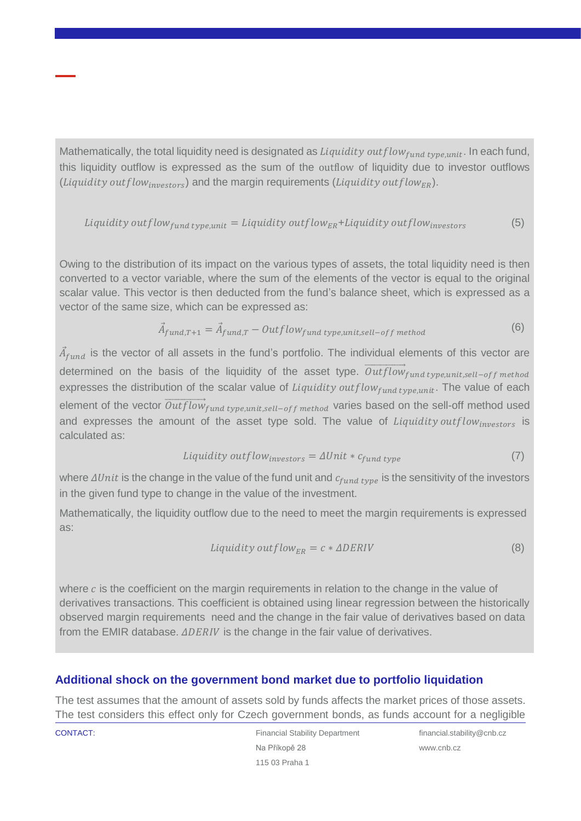Mathematically, the total liquidity need is designated as  $Lightity$  out  $flow_{fund\ type, unit}$ . In each fund, this liquidity outflow is expressed as the sum of the outflow of liquidity due to investor outflows (*Liquidity outflow<sub>innestors</sub>*) and the margin requirements (*Liquidity outflow<sub>ER</sub>*).

, = + (5)

Owing to the distribution of its impact on the various types of assets, the total liquidity need is then converted to a vector variable, where the sum of the elements of the vector is equal to the original scalar value. This vector is then deducted from the fund's balance sheet, which is expressed as a vector of the same size, which can be expressed as:

$$
\vec{A}_{fund,T+1} = \vec{A}_{fund,T} - Outflow_{fund\ type, unit, sell-off\ method}
$$
\n(6)

 $\vec{A}_{fund}$  is the vector of all assets in the fund's portfolio. The individual elements of this vector are determined on the basis of the liquidity of the asset type.  $\overrightarrow{Outflow}_{fund\ type, unit, sell-off\ method}$ expresses the distribution of the scalar value of  $Lightity$  out  $flow_{fund\ type, unit}$ . The value of each element of the vector  $\overrightarrow{Outflow}_{fund\ type, unit, sell-off\ method}$  varies based on the sell-off method used and expresses the amount of the asset type sold. The value of *Liquidity outflow*<sub>investors</sub> is calculated as:

$$
Lightity outflow_{investors} = \Delta Unit * c_{fund\ type} \tag{7}
$$

where  $\Delta Unit$  is the change in the value of the fund unit and  $c_{fund\ type}$  is the sensitivity of the investors in the given fund type to change in the value of the investment.

Mathematically, the liquidity outflow due to the need to meet the margin requirements is expressed as:

$$
Liquidity outflow_{ER} = c * \Delta DERIV
$$
 (8)

where  $c$  is the coefficient on the margin requirements in relation to the change in the value of derivatives transactions. This coefficient is obtained using linear regression between the historically observed margin requirements need and the change in the fair value of derivatives based on data from the EMIR database.  $\triangle DERNV$  is the change in the fair value of derivatives.

#### **Additional shock on the government bond market due to portfolio liquidation**

The test assumes that the amount of assets sold by funds affects the market prices of those assets. The test considers this effect only for Czech government bonds, as funds account for a negligible

**CONTACT:** Financial Stability Department Na Příkopě 28 115 03 Praha 1

financial.stability@cnb.cz www.cnb.cz